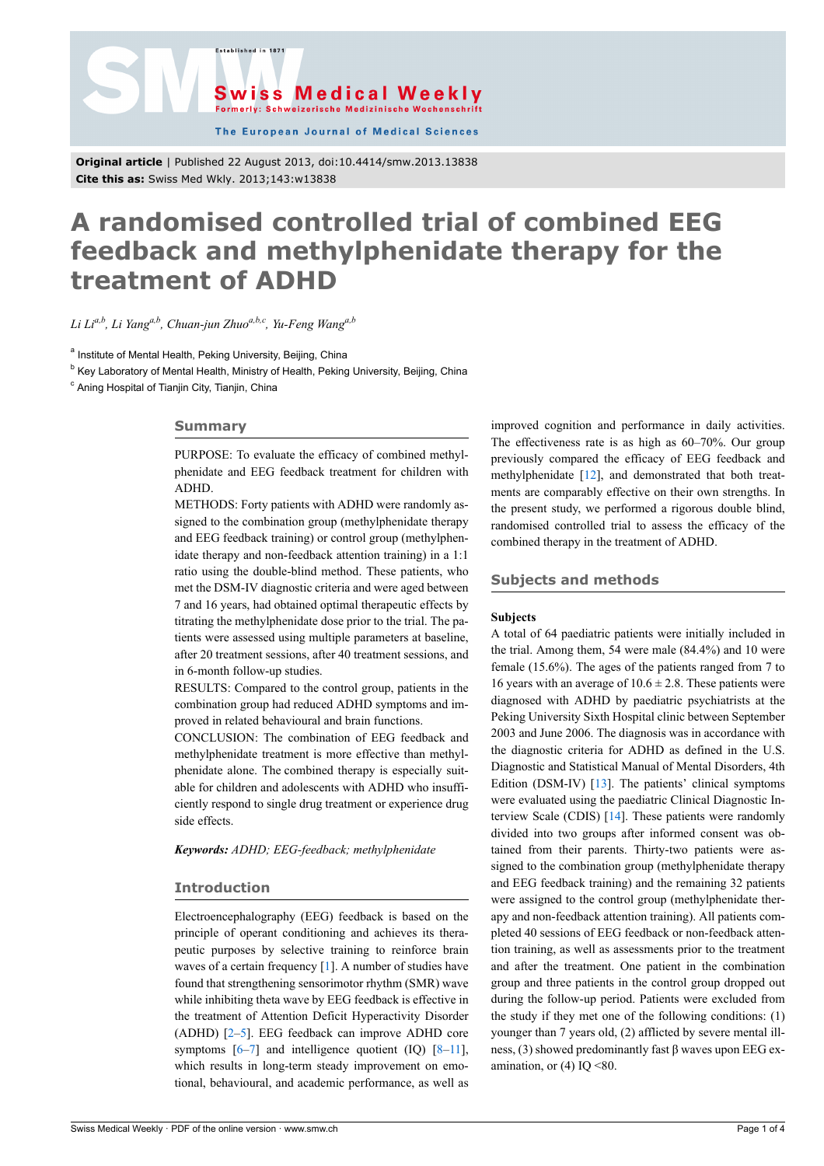



The European Journal of Medical Sciences

**Original article** | Published 22 August 2013, doi:10.4414/smw.2013.13838 **Cite this as:** Swiss Med Wkly. 2013;143:w13838

# **A randomised controlled trial of combined EEG feedback and methylphenidate therapy for the treatment of ADHD**

*Li Lia,b, Li Yanga,b, Chuan-jun Zhuoa,b,c, Yu-Feng Wanga,b*

<sup>a</sup> Institute of Mental Health, Peking University, Beijing, China

<sup>b</sup> Key Laboratory of Mental Health, Ministry of Health, Peking University, Beijing, China

<sup>c</sup> Aning Hospital of Tianjin City, Tianjin, China

## **Summary**

PURPOSE: To evaluate the efficacy of combined methylphenidate and EEG feedback treatment for children with ADHD.

METHODS: Forty patients with ADHD were randomly assigned to the combination group (methylphenidate therapy and EEG feedback training) or control group (methylphenidate therapy and non-feedback attention training) in a 1:1 ratio using the double-blind method. These patients, who met the DSM-IV diagnostic criteria and were aged between 7 and 16 years, had obtained optimal therapeutic effects by titrating the methylphenidate dose prior to the trial. The patients were assessed using multiple parameters at baseline, after 20 treatment sessions, after 40 treatment sessions, and in 6-month follow-up studies.

RESULTS: Compared to the control group, patients in the combination group had reduced ADHD symptoms and improved in related behavioural and brain functions.

CONCLUSION: The combination of EEG feedback and methylphenidate treatment is more effective than methylphenidate alone. The combined therapy is especially suitable for children and adolescents with ADHD who insufficiently respond to single drug treatment or experience drug side effects.

*Keywords: ADHD; EEG-feedback; methylphenidate*

# **Introduction**

Electroencephalography (EEG) feedback is based on the principle of operant conditioning and achieves its therapeutic purposes by selective training to reinforce brain waves of a certain frequency [\[1\]](#page-3-0). A number of studies have found that strengthening sensorimotor rhythm (SMR) wave while inhibiting theta wave by EEG feedback is effective in the treatment of Attention Deficit Hyperactivity Disorder (ADHD) [[2](#page-3-1)–[5](#page-3-2)]. EEG feedback can improve ADHD core symptoms  $[6-7]$  $[6-7]$  and intelligence quotient  $(IQ)$   $[8-11]$  $[8-11]$ , which results in long-term steady improvement on emotional, behavioural, and academic performance, as well as

improved cognition and performance in daily activities. The effectiveness rate is as high as 60–70%. Our group previously compared the efficacy of EEG feedback and methylphenidate [[12\]](#page-3-7), and demonstrated that both treatments are comparably effective on their own strengths. In the present study, we performed a rigorous double blind, randomised controlled trial to assess the efficacy of the combined therapy in the treatment of ADHD.

## **Subjects and methods**

## **Subjects**

A total of 64 paediatric patients were initially included in the trial. Among them, 54 were male (84.4%) and 10 were female (15.6%). The ages of the patients ranged from 7 to 16 years with an average of  $10.6 \pm 2.8$ . These patients were diagnosed with ADHD by paediatric psychiatrists at the Peking University Sixth Hospital clinic between September 2003 and June 2006. The diagnosis was in accordance with the diagnostic criteria for ADHD as defined in the U.S. Diagnostic and Statistical Manual of Mental Disorders, 4th Edition (DSM-IV) [\[13](#page-3-8)]. The patients' clinical symptoms were evaluated using the paediatric Clinical Diagnostic Interview Scale (CDIS) [\[14](#page-3-9)]. These patients were randomly divided into two groups after informed consent was obtained from their parents. Thirty-two patients were assigned to the combination group (methylphenidate therapy and EEG feedback training) and the remaining 32 patients were assigned to the control group (methylphenidate therapy and non-feedback attention training). All patients completed 40 sessions of EEG feedback or non-feedback attention training, as well as assessments prior to the treatment and after the treatment. One patient in the combination group and three patients in the control group dropped out during the follow-up period. Patients were excluded from the study if they met one of the following conditions: (1) younger than 7 years old, (2) afflicted by severe mental illness, (3) showed predominantly fast β waves upon EEG examination, or  $(4)$  IQ <80.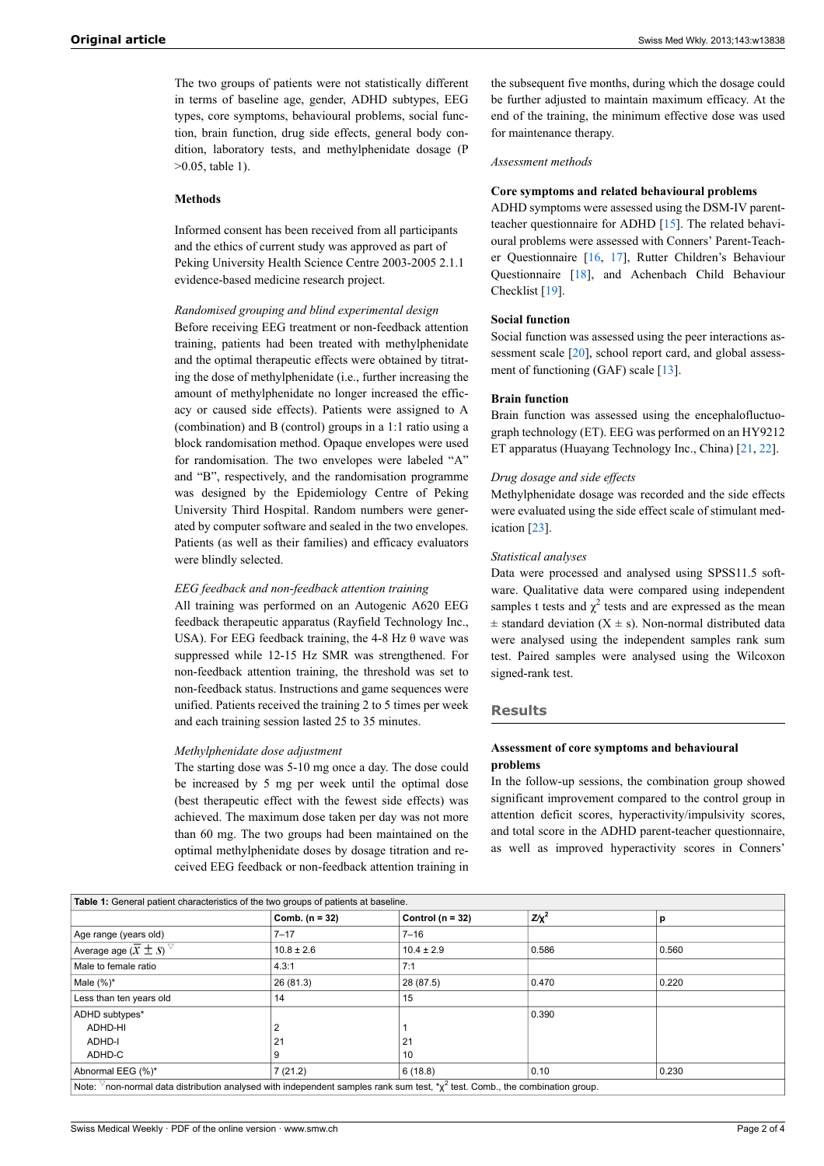The two groups of patients were not statistically different in terms of baseline age, gender, ADHD subtypes, EEG types, core symptoms, behavioural problems, social function, brain function, drug side effects, general body condition, laboratory tests, and methylphenidate dosage (P >0.05, table 1).

## **Methods**

Informed consent has been received from all participants and the ethics of current study was approved as part of Peking University Health Science Centre 2003-2005 2.1.1 evidence-based medicine research project.

# *Randomised grouping and blind experimental design*

Before receiving EEG treatment or non-feedback attention training, patients had been treated with methylphenidate and the optimal therapeutic effects were obtained by titrating the dose of methylphenidate (i.e., further increasing the amount of methylphenidate no longer increased the efficacy or caused side effects). Patients were assigned to A (combination) and B (control) groups in a 1:1 ratio using a block randomisation method. Opaque envelopes were used for randomisation. The two envelopes were labeled "A" and "B", respectively, and the randomisation programme was designed by the Epidemiology Centre of Peking University Third Hospital. Random numbers were generated by computer software and sealed in the two envelopes. Patients (as well as their families) and efficacy evaluators were blindly selected.

#### *EEG feedback and non-feedback attention training*

All training was performed on an Autogenic A620 EEG feedback therapeutic apparatus (Rayfield Technology Inc., USA). For EEG feedback training, the 4-8 Hz  $\theta$  wave was suppressed while 12-15 Hz SMR was strengthened. For non-feedback attention training, the threshold was set to non-feedback status. Instructions and game sequences were unified. Patients received the training 2 to 5 times per week and each training session lasted 25 to 35 minutes.

#### *Methylphenidate dose adjustment*

The starting dose was 5-10 mg once a day. The dose could be increased by 5 mg per week until the optimal dose (best therapeutic effect with the fewest side effects) was achieved. The maximum dose taken per day was not more than 60 mg. The two groups had been maintained on the optimal methylphenidate doses by dosage titration and received EEG feedback or non-feedback attention training in

the subsequent five months, during which the dosage could be further adjusted to maintain maximum efficacy. At the end of the training, the minimum effective dose was used for maintenance therapy.

#### *Assessment methods*

## **Core symptoms and related behavioural problems**

ADHD symptoms were assessed using the DSM-IV parentteacher questionnaire for ADHD [\[15](#page-3-10)]. The related behavioural problems were assessed with Conners' Parent-Teacher Questionnaire [[16,](#page-3-11) [17\]](#page-3-12), Rutter Children's Behaviour Questionnaire [[18\]](#page-3-13), and Achenbach Child Behaviour Checklist [[19\]](#page-3-14).

### **Social function**

Social function was assessed using the peer interactions as-sessment scale [\[20](#page-3-15)], school report card, and global assessment of functioning (GAF) scale [[13\]](#page-3-8).

### **Brain function**

Brain function was assessed using the encephalofluctuograph technology (ET). EEG was performed on an HY9212 ET apparatus (Huayang Technology Inc., China) [[21,](#page-3-16) [22](#page-3-17)].

## *Drug dosage and side effects*

Methylphenidate dosage was recorded and the side effects were evaluated using the side effect scale of stimulant medication [\[23](#page-3-18)].

#### *Statistical analyses*

Data were processed and analysed using SPSS11.5 software. Qualitative data were compared using independent samples t tests and  $\chi^2$  tests and are expressed as the mean  $\pm$  standard deviation (X  $\pm$  s). Non-normal distributed data were analysed using the independent samples rank sum test. Paired samples were analysed using the Wilcoxon signed-rank test.

### **Results**

## **Assessment of core symptoms and behavioural problems**

In the follow-up sessions, the combination group showed significant improvement compared to the control group in attention deficit scores, hyperactivity/impulsivity scores, and total score in the ADHD parent-teacher questionnaire, as well as improved hyperactivity scores in Conners'

| Table 1: General patient characteristics of the two groups of patients at baseline.                                                                                                                                                                                            |                  |                      |            |       |  |
|--------------------------------------------------------------------------------------------------------------------------------------------------------------------------------------------------------------------------------------------------------------------------------|------------------|----------------------|------------|-------|--|
|                                                                                                                                                                                                                                                                                | Comb. $(n = 32)$ | Control ( $n = 32$ ) | $Z/\chi^2$ | р     |  |
| Age range (years old)                                                                                                                                                                                                                                                          | $7 - 17$         | $7 - 16$             |            |       |  |
| Average age $(\overline{x} \pm s)$                                                                                                                                                                                                                                             | $10.8 \pm 2.6$   | $10.4 \pm 2.9$       | 0.586      | 0.560 |  |
| Male to female ratio                                                                                                                                                                                                                                                           | 4.3:1            | 7:1                  |            |       |  |
| Male $(\%)^*$                                                                                                                                                                                                                                                                  | 26 (81.3)        | 28 (87.5)            | 0.470      | 0.220 |  |
| Less than ten years old                                                                                                                                                                                                                                                        | 14               | 15                   |            |       |  |
| ADHD subtypes*                                                                                                                                                                                                                                                                 |                  |                      | 0.390      |       |  |
| ADHD-HI                                                                                                                                                                                                                                                                        |                  |                      |            |       |  |
| ADHD-I                                                                                                                                                                                                                                                                         | 21               | 21                   |            |       |  |
| ADHD-C                                                                                                                                                                                                                                                                         |                  | 10                   |            |       |  |
| Abnormal EEG (%)*                                                                                                                                                                                                                                                              | 7(21.2)          | 6(18.8)              | 0.10       | 0.230 |  |
| $\mathbf{M}_{\text{eff}}$ , $\nabla$ , is a consequently distribution of subset of the indicated denotes and consequently $\mathbf{A}$ , $\mathbf{A}$ and $\mathbf{A}$ , $\mathbf{A}$ and $\mathbf{A}$ and $\mathbf{A}$ and $\mathbf{A}$ and $\mathbf{A}$ and $\mathbf{A}$ and |                  |                      |            |       |  |

Note:  $\triangledown$ non-normal data distribution analysed with independent samples rank sum test, \* $\chi^2$  test. Comb., the combination group.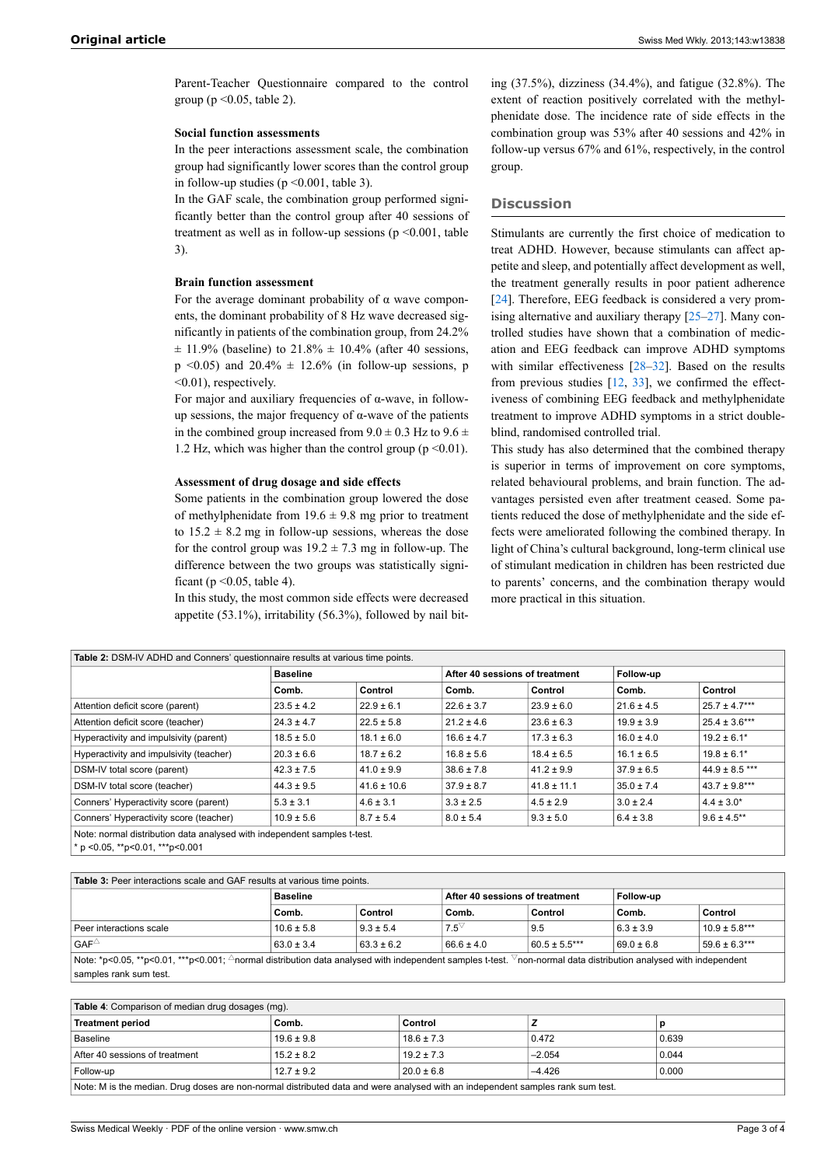Parent-Teacher Questionnaire compared to the control group ( $p \le 0.05$ , table 2).

## **Social function assessments**

In the peer interactions assessment scale, the combination group had significantly lower scores than the control group in follow-up studies ( $p \le 0.001$ , table 3).

In the GAF scale, the combination group performed significantly better than the control group after 40 sessions of treatment as well as in follow-up sessions ( $p \le 0.001$ , table 3).

#### **Brain function assessment**

For the average dominant probability of  $\alpha$  wave components, the dominant probability of 8 Hz wave decreased significantly in patients of the combination group, from 24.2%  $\pm$  11.9% (baseline) to 21.8%  $\pm$  10.4% (after 40 sessions, p <0.05) and  $20.4\% \pm 12.6\%$  (in follow-up sessions, p <0.01), respectively.

For major and auxiliary frequencies of α-wave, in followup sessions, the major frequency of α-wave of the patients in the combined group increased from  $9.0 \pm 0.3$  Hz to  $9.6 \pm$ 1.2 Hz, which was higher than the control group ( $p \le 0.01$ ).

#### **Assessment of drug dosage and side effects**

Some patients in the combination group lowered the dose of methylphenidate from  $19.6 \pm 9.8$  mg prior to treatment to  $15.2 \pm 8.2$  mg in follow-up sessions, whereas the dose for the control group was  $19.2 \pm 7.3$  mg in follow-up. The difference between the two groups was statistically significant ( $p \le 0.05$ , table 4).

In this study, the most common side effects were decreased appetite (53.1%), irritability (56.3%), followed by nail bit-

ing (37.5%), dizziness (34.4%), and fatigue (32.8%). The extent of reaction positively correlated with the methylphenidate dose. The incidence rate of side effects in the combination group was 53% after 40 sessions and 42% in follow-up versus 67% and 61%, respectively, in the control group.

# **Discussion**

Stimulants are currently the first choice of medication to treat ADHD. However, because stimulants can affect appetite and sleep, and potentially affect development as well, the treatment generally results in poor patient adherence [[24\]](#page-3-19). Therefore, EEG feedback is considered a very promising alternative and auxiliary therapy [\[25](#page-3-20)–[27\]](#page-3-21). Many controlled studies have shown that a combination of medication and EEG feedback can improve ADHD symptoms with similar effectiveness  $[28-32]$  $[28-32]$  $[28-32]$ . Based on the results from previous studies [[12,](#page-3-7) [33\]](#page-3-24), we confirmed the effectiveness of combining EEG feedback and methylphenidate treatment to improve ADHD symptoms in a strict doubleblind, randomised controlled trial.

This study has also determined that the combined therapy is superior in terms of improvement on core symptoms, related behavioural problems, and brain function. The advantages persisted even after treatment ceased. Some patients reduced the dose of methylphenidate and the side effects were ameliorated following the combined therapy. In light of China's cultural background, long-term clinical use of stimulant medication in children has been restricted due to parents' concerns, and the combination therapy would more practical in this situation.

| Table 2: DSM-IV ADHD and Conners' questionnaire results at various time points. |                 |                 |                |                                |                |                    |  |
|---------------------------------------------------------------------------------|-----------------|-----------------|----------------|--------------------------------|----------------|--------------------|--|
|                                                                                 | <b>Baseline</b> |                 |                | After 40 sessions of treatment |                | Follow-up          |  |
|                                                                                 | Comb.           | Control         | Comb.          | Control                        | Comb.          | Control            |  |
| Attention deficit score (parent)                                                | $23.5 \pm 4.2$  | $22.9 \pm 6.1$  | $22.6 \pm 3.7$ | $23.9 \pm 6.0$                 | $21.6 \pm 4.5$ | $25.7 \pm 4.7***$  |  |
| Attention deficit score (teacher)                                               | $24.3 \pm 4.7$  | $22.5 \pm 5.8$  | $21.2 \pm 4.6$ | $23.6 \pm 6.3$                 | $19.9 \pm 3.9$ | $25.4 \pm 3.6***$  |  |
| Hyperactivity and impulsivity (parent)                                          | $18.5 \pm 5.0$  | $18.1 \pm 6.0$  | $16.6 \pm 4.7$ | $17.3 \pm 6.3$                 | $16.0 \pm 4.0$ | $19.2 \pm 6.1*$    |  |
| Hyperactivity and impulsivity (teacher)                                         | $20.3 \pm 6.6$  | $18.7 \pm 6.2$  | $16.8 \pm 5.6$ | $18.4 \pm 6.5$                 | $16.1 \pm 6.5$ | $19.8 \pm 6.1*$    |  |
| DSM-IV total score (parent)                                                     | $42.3 \pm 7.5$  | $41.0 \pm 9.9$  | $38.6 \pm 7.8$ | $41.2 \pm 9.9$                 | $37.9 \pm 6.5$ | $44.9 \pm 8.5$ *** |  |
| DSM-IV total score (teacher)                                                    | $44.3 \pm 9.5$  | $41.6 \pm 10.6$ | $37.9 \pm 8.7$ | $41.8 \pm 11.1$                | $35.0 \pm 7.4$ | $43.7 \pm 9.8***$  |  |
| Conners' Hyperactivity score (parent)                                           | $5.3 \pm 3.1$   | $4.6 \pm 3.1$   | $3.3 \pm 2.5$  | $4.5 \pm 2.9$                  | $3.0 \pm 2.4$  | $4.4 \pm 3.0^*$    |  |
| Conners' Hyperactivity score (teacher)                                          | $10.9 \pm 5.6$  | $8.7 \pm 5.4$   | $8.0 \pm 5.4$  | $9.3 \pm 5.0$                  | $6.4 \pm 3.8$  | $9.6 \pm 4.5$ **   |  |
| Note: normal distribution data analysed with independent samples t-test.        |                 |                 |                |                                |                |                    |  |

p < 0.05, \*\*p< 0.01, \*\*\*p< 0.001

samples rank sum test.

| <b>Table 3: Peer interactions scale and GAF results at various time points.</b>                                                                                                         |                 |                |                                |                   |                |                   |  |
|-----------------------------------------------------------------------------------------------------------------------------------------------------------------------------------------|-----------------|----------------|--------------------------------|-------------------|----------------|-------------------|--|
|                                                                                                                                                                                         | <b>Baseline</b> |                | After 40 sessions of treatment |                   | Follow-up      |                   |  |
|                                                                                                                                                                                         | Comb.           | Control        | Comb.                          | Control           | Comb.          | Control           |  |
| Peer interactions scale                                                                                                                                                                 | $10.6 \pm 5.8$  | $9.3 \pm 5.4$  | $7.5^{\circ}$                  | 9.5               | $6.3 \pm 3.9$  | $10.9 \pm 5.8***$ |  |
| $GAF^{\triangle}$                                                                                                                                                                       | $63.0 \pm 3.4$  | $63.3 \pm 6.2$ | $66.6 \pm 4.0$                 | $60.5 \pm 5.5***$ | $69.0 \pm 6.8$ | $59.6 \pm 6.3***$ |  |
| Note: *p<0.05, **p<0.01, ***p<0.001; $\triangle$ normal distribution data analysed with independent samples t-test.<br>$\degree$ non-normal data distribution analysed with independent |                 |                |                                |                   |                |                   |  |

| <b>Table 4:</b> Comparison of median drug dosages (mg).                                                                        |                |                |          |       |  |
|--------------------------------------------------------------------------------------------------------------------------------|----------------|----------------|----------|-------|--|
| <b>Treatment period</b>                                                                                                        | Comb.          | Control        |          | D     |  |
| Baseline                                                                                                                       | $19.6 \pm 9.8$ | $18.6 \pm 7.3$ | 0.472    | 0.639 |  |
| After 40 sessions of treatment                                                                                                 | $15.2 \pm 8.2$ | $19.2 \pm 7.3$ | $-2.054$ | 0.044 |  |
| Follow-up                                                                                                                      | $12.7 \pm 9.2$ | $20.0 \pm 6.8$ | $-4.426$ | 0.000 |  |
| Note: M is the median. Drug doses are non-normal distributed data and were analysed with an independent samples rank sum test. |                |                |          |       |  |